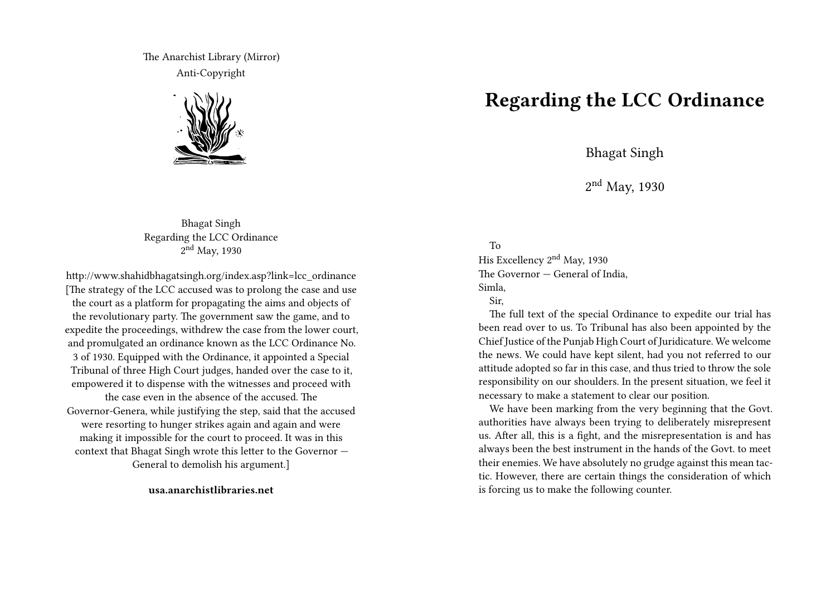The Anarchist Library (Mirror) Anti-Copyright



Bhagat Singh Regarding the LCC Ordinance 2<sup>nd</sup> May, 1930

http://www.shahidbhagatsingh.org/index.asp?link=lcc\_ordinance [The strategy of the LCC accused was to prolong the case and use the court as a platform for propagating the aims and objects of the revolutionary party. The government saw the game, and to expedite the proceedings, withdrew the case from the lower court, and promulgated an ordinance known as the LCC Ordinance No. 3 of 1930. Equipped with the Ordinance, it appointed a Special Tribunal of three High Court judges, handed over the case to it, empowered it to dispense with the witnesses and proceed with the case even in the absence of the accused. The Governor-Genera, while justifying the step, said that the accused were resorting to hunger strikes again and again and were making it impossible for the court to proceed. It was in this context that Bhagat Singh wrote this letter to the Governor — General to demolish his argument.]

**usa.anarchistlibraries.net**

## **Regarding the LCC Ordinance**

Bhagat Singh

2 nd May, 1930

## To

His Excellency 2nd May, 1930 The Governor — General of India, Simla,

## Sir,

The full text of the special Ordinance to expedite our trial has been read over to us. To Tribunal has also been appointed by the Chief Justice of the Punjab High Court of Juridicature. We welcome the news. We could have kept silent, had you not referred to our attitude adopted so far in this case, and thus tried to throw the sole responsibility on our shoulders. In the present situation, we feel it necessary to make a statement to clear our position.

We have been marking from the very beginning that the Govt. authorities have always been trying to deliberately misrepresent us. After all, this is a fight, and the misrepresentation is and has always been the best instrument in the hands of the Govt. to meet their enemies. We have absolutely no grudge against this mean tactic. However, there are certain things the consideration of which is forcing us to make the following counter.